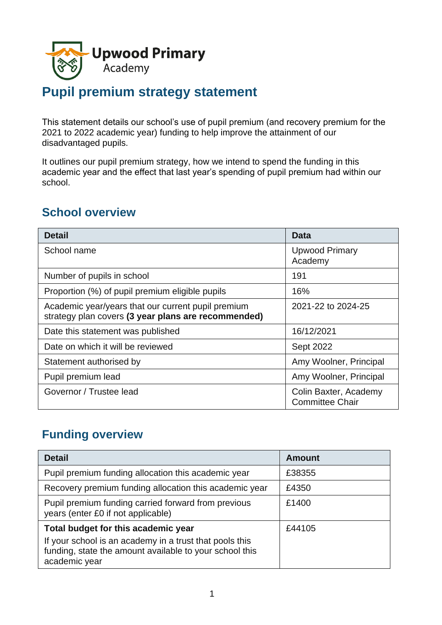

# **Pupil premium strategy statement**

This statement details our school's use of pupil premium (and recovery premium for the 2021 to 2022 academic year) funding to help improve the attainment of our disadvantaged pupils.

It outlines our pupil premium strategy, how we intend to spend the funding in this academic year and the effect that last year's spending of pupil premium had within our school.

### **School overview**

| <b>Detail</b>                                                                                             | <b>Data</b>                                     |
|-----------------------------------------------------------------------------------------------------------|-------------------------------------------------|
| School name                                                                                               | <b>Upwood Primary</b><br>Academy                |
| Number of pupils in school                                                                                | 191                                             |
| Proportion (%) of pupil premium eligible pupils                                                           | 16%                                             |
| Academic year/years that our current pupil premium<br>strategy plan covers (3 year plans are recommended) | 2021-22 to 2024-25                              |
| Date this statement was published                                                                         | 16/12/2021                                      |
| Date on which it will be reviewed                                                                         | <b>Sept 2022</b>                                |
| Statement authorised by                                                                                   | Amy Woolner, Principal                          |
| Pupil premium lead                                                                                        | Amy Woolner, Principal                          |
| Governor / Trustee lead                                                                                   | Colin Baxter, Academy<br><b>Committee Chair</b> |

### **Funding overview**

| <b>Detail</b>                                                                                                                       | <b>Amount</b> |
|-------------------------------------------------------------------------------------------------------------------------------------|---------------|
| Pupil premium funding allocation this academic year                                                                                 | £38355        |
| Recovery premium funding allocation this academic year                                                                              | £4350         |
| Pupil premium funding carried forward from previous<br>years (enter £0 if not applicable)                                           | £1400         |
| Total budget for this academic year                                                                                                 | £44105        |
| If your school is an academy in a trust that pools this<br>funding, state the amount available to your school this<br>academic year |               |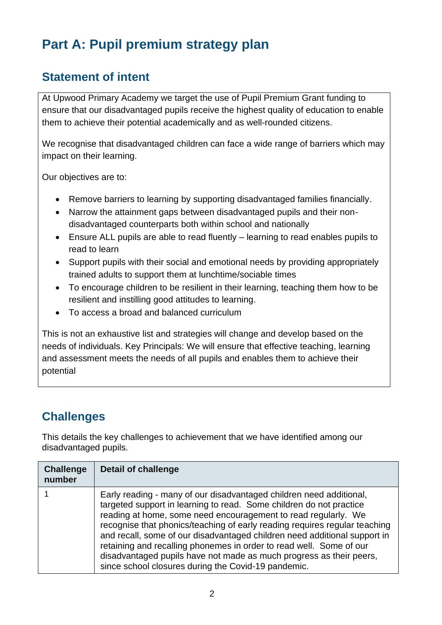# **Part A: Pupil premium strategy plan**

## **Statement of intent**

At Upwood Primary Academy we target the use of Pupil Premium Grant funding to ensure that our disadvantaged pupils receive the highest quality of education to enable them to achieve their potential academically and as well-rounded citizens.

We recognise that disadvantaged children can face a wide range of barriers which may impact on their learning.

Our objectives are to:

- Remove barriers to learning by supporting disadvantaged families financially.
- Narrow the attainment gaps between disadvantaged pupils and their nondisadvantaged counterparts both within school and nationally
- Ensure ALL pupils are able to read fluently learning to read enables pupils to read to learn
- Support pupils with their social and emotional needs by providing appropriately trained adults to support them at lunchtime/sociable times
- To encourage children to be resilient in their learning, teaching them how to be resilient and instilling good attitudes to learning.
- To access a broad and balanced curriculum

This is not an exhaustive list and strategies will change and develop based on the needs of individuals. Key Principals: We will ensure that effective teaching, learning and assessment meets the needs of all pupils and enables them to achieve their potential

# **Challenges**

This details the key challenges to achievement that we have identified among our disadvantaged pupils.

| <b>Challenge</b><br>number | <b>Detail of challenge</b>                                                                                                                                                                                                                                                                                                                                                                                                                                                                                                                                                   |
|----------------------------|------------------------------------------------------------------------------------------------------------------------------------------------------------------------------------------------------------------------------------------------------------------------------------------------------------------------------------------------------------------------------------------------------------------------------------------------------------------------------------------------------------------------------------------------------------------------------|
|                            | Early reading - many of our disadvantaged children need additional,<br>targeted support in learning to read. Some children do not practice<br>reading at home, some need encouragement to read regularly. We<br>recognise that phonics/teaching of early reading requires regular teaching<br>and recall, some of our disadvantaged children need additional support in<br>retaining and recalling phonemes in order to read well. Some of our<br>disadvantaged pupils have not made as much progress as their peers,<br>since school closures during the Covid-19 pandemic. |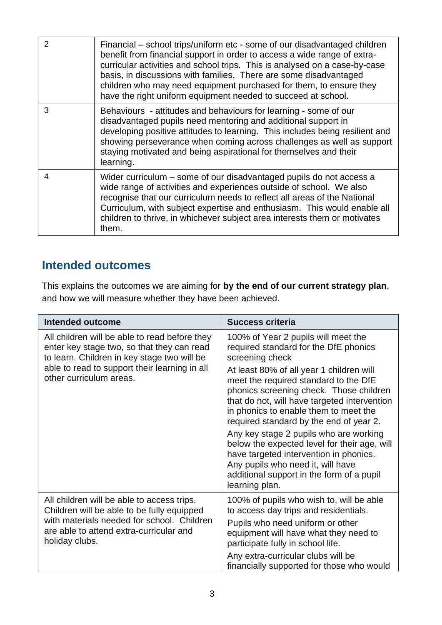| 2 | Financial – school trips/uniform etc - some of our disadvantaged children<br>benefit from financial support in order to access a wide range of extra-<br>curricular activities and school trips. This is analysed on a case-by-case<br>basis, in discussions with families. There are some disadvantaged<br>children who may need equipment purchased for them, to ensure they<br>have the right uniform equipment needed to succeed at school. |
|---|-------------------------------------------------------------------------------------------------------------------------------------------------------------------------------------------------------------------------------------------------------------------------------------------------------------------------------------------------------------------------------------------------------------------------------------------------|
| 3 | Behaviours - attitudes and behaviours for learning - some of our<br>disadvantaged pupils need mentoring and additional support in<br>developing positive attitudes to learning. This includes being resilient and<br>showing perseverance when coming across challenges as well as support<br>staying motivated and being aspirational for themselves and their<br>learning.                                                                    |
| 4 | Wider curriculum – some of our disadvantaged pupils do not access a<br>wide range of activities and experiences outside of school. We also<br>recognise that our curriculum needs to reflect all areas of the National<br>Curriculum, with subject expertise and enthusiasm. This would enable all<br>children to thrive, in whichever subject area interests them or motivates<br>them.                                                        |

# **Intended outcomes**

This explains the outcomes we are aiming for **by the end of our current strategy plan**, and how we will measure whether they have been achieved.

| <b>Intended outcome</b>                                                                                                                                                                                                | <b>Success criteria</b>                                                                                                                                                                                                                                                                                                                                                                                                                                                                                                                                                                                     |
|------------------------------------------------------------------------------------------------------------------------------------------------------------------------------------------------------------------------|-------------------------------------------------------------------------------------------------------------------------------------------------------------------------------------------------------------------------------------------------------------------------------------------------------------------------------------------------------------------------------------------------------------------------------------------------------------------------------------------------------------------------------------------------------------------------------------------------------------|
| All children will be able to read before they<br>enter key stage two, so that they can read<br>to learn. Children in key stage two will be<br>able to read to support their learning in all<br>other curriculum areas. | 100% of Year 2 pupils will meet the<br>required standard for the DfE phonics<br>screening check<br>At least 80% of all year 1 children will<br>meet the required standard to the DfE<br>phonics screening check. Those children<br>that do not, will have targeted intervention<br>in phonics to enable them to meet the<br>required standard by the end of year 2.<br>Any key stage 2 pupils who are working<br>below the expected level for their age, will<br>have targeted intervention in phonics.<br>Any pupils who need it, will have<br>additional support in the form of a pupil<br>learning plan. |
| All children will be able to access trips.<br>Children will be able to be fully equipped<br>with materials needed for school. Children<br>are able to attend extra-curricular and<br>holiday clubs.                    | 100% of pupils who wish to, will be able<br>to access day trips and residentials.<br>Pupils who need uniform or other<br>equipment will have what they need to<br>participate fully in school life.<br>Any extra-curricular clubs will be<br>financially supported for those who would                                                                                                                                                                                                                                                                                                                      |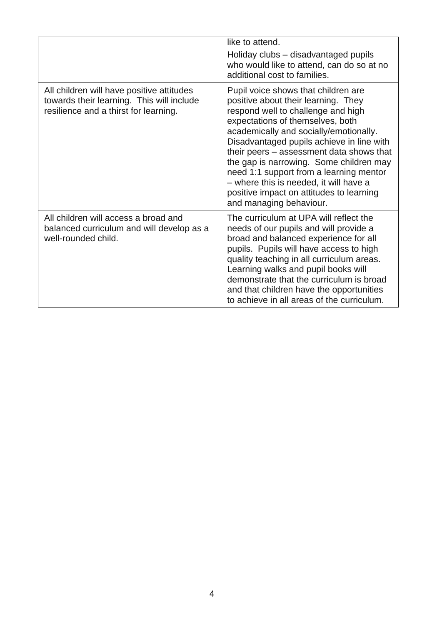|                                                                                                                                 | like to attend.<br>Holiday clubs – disadvantaged pupils<br>who would like to attend, can do so at no<br>additional cost to families.                                                                                                                                                                                                                                                                                                                                                           |
|---------------------------------------------------------------------------------------------------------------------------------|------------------------------------------------------------------------------------------------------------------------------------------------------------------------------------------------------------------------------------------------------------------------------------------------------------------------------------------------------------------------------------------------------------------------------------------------------------------------------------------------|
| All children will have positive attitudes<br>towards their learning. This will include<br>resilience and a thirst for learning. | Pupil voice shows that children are<br>positive about their learning. They<br>respond well to challenge and high<br>expectations of themselves, both<br>academically and socially/emotionally.<br>Disadvantaged pupils achieve in line with<br>their peers – assessment data shows that<br>the gap is narrowing. Some children may<br>need 1:1 support from a learning mentor<br>- where this is needed, it will have a<br>positive impact on attitudes to learning<br>and managing behaviour. |
| All children will access a broad and<br>balanced curriculum and will develop as a<br>well-rounded child.                        | The curriculum at UPA will reflect the<br>needs of our pupils and will provide a<br>broad and balanced experience for all<br>pupils. Pupils will have access to high<br>quality teaching in all curriculum areas.<br>Learning walks and pupil books will<br>demonstrate that the curriculum is broad<br>and that children have the opportunities<br>to achieve in all areas of the curriculum.                                                                                                 |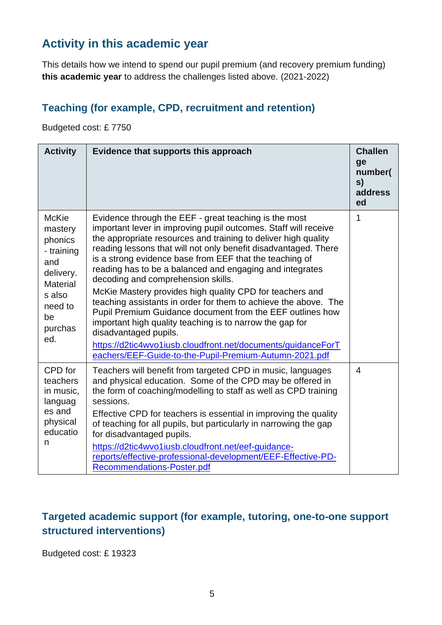## **Activity in this academic year**

This details how we intend to spend our pupil premium (and recovery premium funding) **this academic year** to address the challenges listed above. (2021-2022)

#### **Teaching (for example, CPD, recruitment and retention)**

Budgeted cost: £ 7750

| <b>Activity</b>                                                                                                                      | Evidence that supports this approach                                                                                                                                                                                                                                                                                                                                                                                                                                                                                                                                                                                                                                                                                                                                                                                                  | <b>Challen</b><br>ge<br>number(<br>s)<br>address<br>ed |
|--------------------------------------------------------------------------------------------------------------------------------------|---------------------------------------------------------------------------------------------------------------------------------------------------------------------------------------------------------------------------------------------------------------------------------------------------------------------------------------------------------------------------------------------------------------------------------------------------------------------------------------------------------------------------------------------------------------------------------------------------------------------------------------------------------------------------------------------------------------------------------------------------------------------------------------------------------------------------------------|--------------------------------------------------------|
| <b>McKie</b><br>mastery<br>phonics<br>- training<br>and<br>delivery.<br><b>Material</b><br>s also<br>need to<br>be<br>purchas<br>ed. | Evidence through the EEF - great teaching is the most<br>important lever in improving pupil outcomes. Staff will receive<br>the appropriate resources and training to deliver high quality<br>reading lessons that will not only benefit disadvantaged. There<br>is a strong evidence base from EEF that the teaching of<br>reading has to be a balanced and engaging and integrates<br>decoding and comprehension skills.<br>McKie Mastery provides high quality CPD for teachers and<br>teaching assistants in order for them to achieve the above. The<br>Pupil Premium Guidance document from the EEF outlines how<br>important high quality teaching is to narrow the gap for<br>disadvantaged pupils.<br>https://d2tic4wvo1iusb.cloudfront.net/documents/guidanceForT<br>eachers/EEF-Guide-to-the-Pupil-Premium-Autumn-2021.pdf | 1                                                      |
| CPD for<br>teachers<br>in music,<br>languag<br>es and<br>physical<br>educatio<br>n                                                   | Teachers will benefit from targeted CPD in music, languages<br>and physical education. Some of the CPD may be offered in<br>the form of coaching/modelling to staff as well as CPD training<br>sessions.<br>Effective CPD for teachers is essential in improving the quality<br>of teaching for all pupils, but particularly in narrowing the gap<br>for disadvantaged pupils.<br>https://d2tic4wvo1iusb.cloudfront.net/eef-quidance-<br>reports/effective-professional-development/EEF-Effective-PD-<br>Recommendations-Poster.pdf                                                                                                                                                                                                                                                                                                   | $\overline{4}$                                         |

#### **Targeted academic support (for example, tutoring, one-to-one support structured interventions)**

Budgeted cost: £ 19323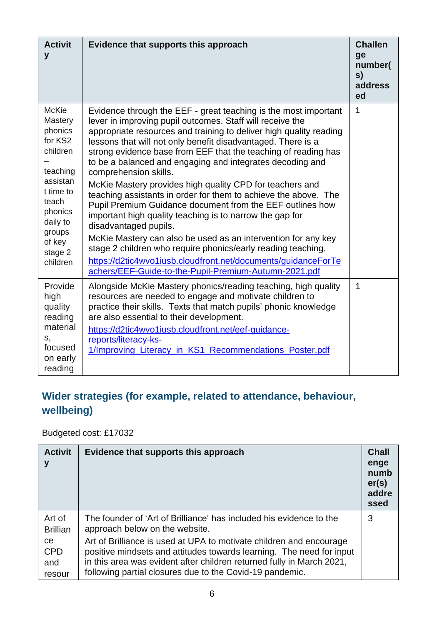| <b>Activit</b><br>y                                                                                                                                                       | Evidence that supports this approach                                                                                                                                                                                                                                                                                                                                                                                                                                                                                                                                                                                                                                                                                                                                                                                                                                                                                                                                   | <b>Challen</b><br>ge<br>number(<br>s)<br>address<br>ed |
|---------------------------------------------------------------------------------------------------------------------------------------------------------------------------|------------------------------------------------------------------------------------------------------------------------------------------------------------------------------------------------------------------------------------------------------------------------------------------------------------------------------------------------------------------------------------------------------------------------------------------------------------------------------------------------------------------------------------------------------------------------------------------------------------------------------------------------------------------------------------------------------------------------------------------------------------------------------------------------------------------------------------------------------------------------------------------------------------------------------------------------------------------------|--------------------------------------------------------|
| <b>McKie</b><br>Mastery<br>phonics<br>for KS2<br>children<br>teaching<br>assistan<br>t time to<br>teach<br>phonics<br>daily to<br>groups<br>of key<br>stage 2<br>children | Evidence through the EEF - great teaching is the most important<br>lever in improving pupil outcomes. Staff will receive the<br>appropriate resources and training to deliver high quality reading<br>lessons that will not only benefit disadvantaged. There is a<br>strong evidence base from EEF that the teaching of reading has<br>to be a balanced and engaging and integrates decoding and<br>comprehension skills.<br>McKie Mastery provides high quality CPD for teachers and<br>teaching assistants in order for them to achieve the above. The<br>Pupil Premium Guidance document from the EEF outlines how<br>important high quality teaching is to narrow the gap for<br>disadvantaged pupils.<br>McKie Mastery can also be used as an intervention for any key<br>stage 2 children who require phonics/early reading teaching.<br>https://d2tic4wvo1iusb.cloudfront.net/documents/guidanceForTe<br>achers/EEF-Guide-to-the-Pupil-Premium-Autumn-2021.pdf | 1                                                      |
| Provide<br>high<br>quality<br>reading<br>material<br>S,<br>focused<br>on early<br>reading                                                                                 | Alongside McKie Mastery phonics/reading teaching, high quality<br>resources are needed to engage and motivate children to<br>practice their skills. Texts that match pupils' phonic knowledge<br>are also essential to their development.<br>https://d2tic4wvo1iusb.cloudfront.net/eef-guidance-<br>reports/literacy-ks-<br>1/Improving_Literacy_in_KS1_Recommendations_Poster.pdf                                                                                                                                                                                                                                                                                                                                                                                                                                                                                                                                                                                     | 1                                                      |

# **Wider strategies (for example, related to attendance, behaviour, wellbeing)**

Budgeted cost: £17032

| <b>Activit</b><br>у               | Evidence that supports this approach                                                                                                                                                                                                                                             | <b>Chall</b><br>enge<br>numb<br>er(s)<br>addre<br>ssed |
|-----------------------------------|----------------------------------------------------------------------------------------------------------------------------------------------------------------------------------------------------------------------------------------------------------------------------------|--------------------------------------------------------|
| Art of<br><b>Brillian</b>         | The founder of 'Art of Brilliance' has included his evidence to the<br>approach below on the website.                                                                                                                                                                            | 3                                                      |
| ce<br><b>CPD</b><br>and<br>resour | Art of Brilliance is used at UPA to motivate children and encourage<br>positive mindsets and attitudes towards learning. The need for input<br>in this area was evident after children returned fully in March 2021,<br>following partial closures due to the Covid-19 pandemic. |                                                        |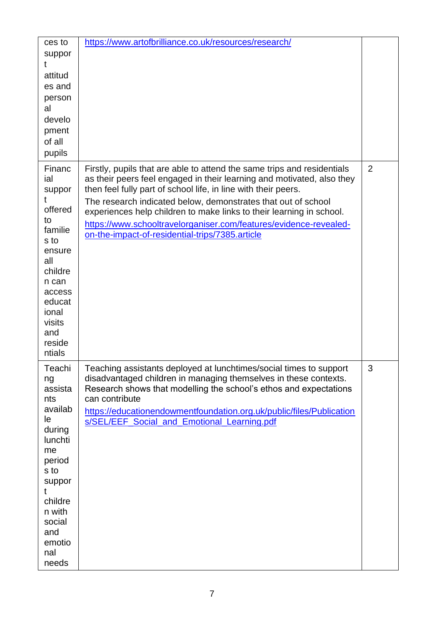| ces to<br>suppor<br>t<br>attitud<br>es and<br>person<br>al<br>develo<br>pment<br>of all<br>pupils                                                                           | https://www.artofbrilliance.co.uk/resources/research/                                                                                                                                                                                                                                                                                                                                                                                                                                |                |
|-----------------------------------------------------------------------------------------------------------------------------------------------------------------------------|--------------------------------------------------------------------------------------------------------------------------------------------------------------------------------------------------------------------------------------------------------------------------------------------------------------------------------------------------------------------------------------------------------------------------------------------------------------------------------------|----------------|
| Financ<br>ial<br>suppor<br>offered<br>to<br>familie<br>s to<br>ensure<br>all<br>childre<br>n can<br>access<br>educat<br>ional<br>visits<br>and<br>reside<br>ntials          | Firstly, pupils that are able to attend the same trips and residentials<br>as their peers feel engaged in their learning and motivated, also they<br>then feel fully part of school life, in line with their peers.<br>The research indicated below, demonstrates that out of school<br>experiences help children to make links to their learning in school.<br>https://www.schooltravelorganiser.com/features/evidence-revealed-<br>on-the-impact-of-residential-trips/7385.article | $\overline{2}$ |
| Teachi<br>ng<br>assista<br>nts<br>availab<br>le<br>during<br>lunchti<br>me<br>period<br>s to<br>suppor<br>t<br>childre<br>n with<br>social<br>and<br>emotio<br>nal<br>needs | Teaching assistants deployed at lunchtimes/social times to support<br>disadvantaged children in managing themselves in these contexts.<br>Research shows that modelling the school's ethos and expectations<br>can contribute<br>https://educationendowmentfoundation.org.uk/public/files/Publication<br>s/SEL/EEF_Social_and_Emotional_Learning.pdf                                                                                                                                 | 3              |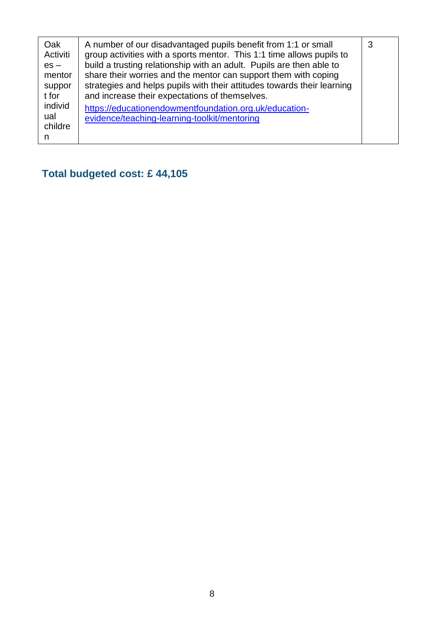| Oak<br>Activiti<br>$es -$<br>mentor<br>suppor<br>t for<br>individ<br>ual<br>childre<br>n | A number of our disadvantaged pupils benefit from 1:1 or small<br>group activities with a sports mentor. This 1:1 time allows pupils to<br>build a trusting relationship with an adult. Pupils are then able to<br>share their worries and the mentor can support them with coping<br>strategies and helps pupils with their attitudes towards their learning<br>and increase their expectations of themselves.<br>https://educationendowmentfoundation.org.uk/education-<br>evidence/teaching-learning-toolkit/mentoring | 3 |
|------------------------------------------------------------------------------------------|---------------------------------------------------------------------------------------------------------------------------------------------------------------------------------------------------------------------------------------------------------------------------------------------------------------------------------------------------------------------------------------------------------------------------------------------------------------------------------------------------------------------------|---|
|------------------------------------------------------------------------------------------|---------------------------------------------------------------------------------------------------------------------------------------------------------------------------------------------------------------------------------------------------------------------------------------------------------------------------------------------------------------------------------------------------------------------------------------------------------------------------------------------------------------------------|---|

# **Total budgeted cost: £ 44,105**